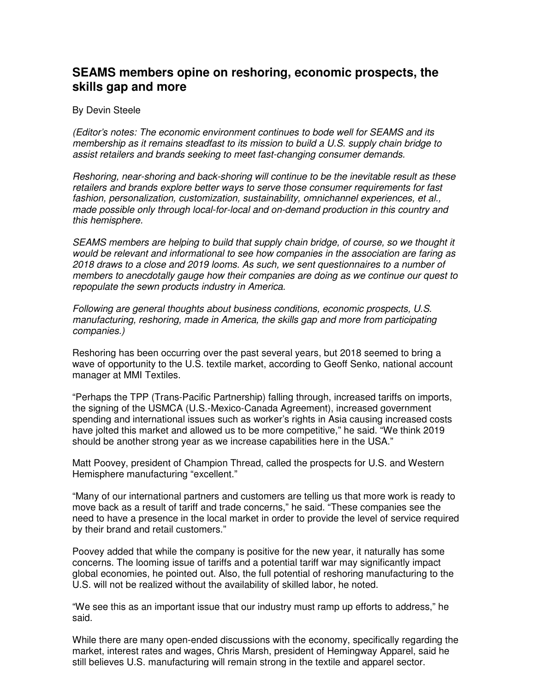## **SEAMS members opine on reshoring, economic prospects, the skills gap and more**

## By Devin Steele

*(Editor's notes: The economic environment continues to bode well for SEAMS and its membership as it remains steadfast to its mission to build a U.S. supply chain bridge to assist retailers and brands seeking to meet fast-changing consumer demands.* 

*Reshoring, near-shoring and back-shoring will continue to be the inevitable result as these retailers and brands explore better ways to serve those consumer requirements for fast fashion, personalization, customization, sustainability, omnichannel experiences, et al., made possible only through local-for-local and on-demand production in this country and this hemisphere.* 

*SEAMS members are helping to build that supply chain bridge, of course, so we thought it would be relevant and informational to see how companies in the association are faring as 2018 draws to a close and 2019 looms. As such, we sent questionnaires to a number of members to anecdotally gauge how their companies are doing as we continue our quest to repopulate the sewn products industry in America.* 

*Following are general thoughts about business conditions, economic prospects, U.S. manufacturing, reshoring, made in America, the skills gap and more from participating companies.)* 

Reshoring has been occurring over the past several years, but 2018 seemed to bring a wave of opportunity to the U.S. textile market, according to Geoff Senko, national account manager at MMI Textiles.

"Perhaps the TPP (Trans-Pacific Partnership) falling through, increased tariffs on imports, the signing of the USMCA (U.S.-Mexico-Canada Agreement), increased government spending and international issues such as worker's rights in Asia causing increased costs have jolted this market and allowed us to be more competitive," he said. "We think 2019 should be another strong year as we increase capabilities here in the USA."

Matt Poovey, president of Champion Thread, called the prospects for U.S. and Western Hemisphere manufacturing "excellent."

"Many of our international partners and customers are telling us that more work is ready to move back as a result of tariff and trade concerns," he said. "These companies see the need to have a presence in the local market in order to provide the level of service required by their brand and retail customers."

Poovey added that while the company is positive for the new year, it naturally has some concerns. The looming issue of tariffs and a potential tariff war may significantly impact global economies, he pointed out. Also, the full potential of reshoring manufacturing to the U.S. will not be realized without the availability of skilled labor, he noted.

"We see this as an important issue that our industry must ramp up efforts to address," he said.

While there are many open-ended discussions with the economy, specifically regarding the market, interest rates and wages, Chris Marsh, president of Hemingway Apparel, said he still believes U.S. manufacturing will remain strong in the textile and apparel sector.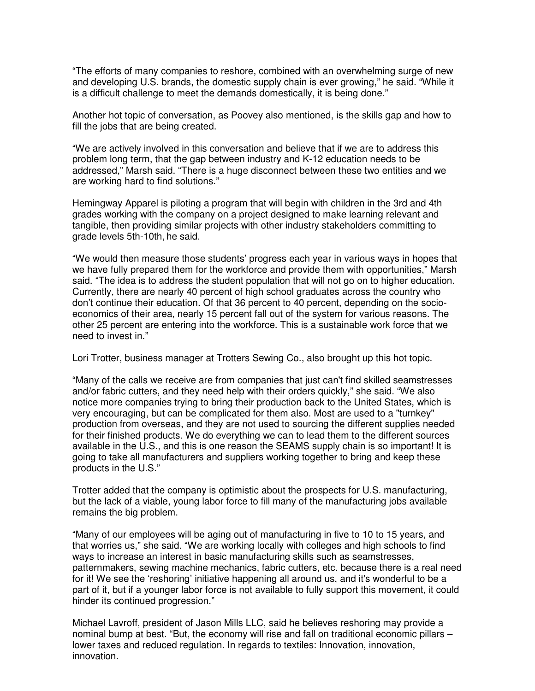"The efforts of many companies to reshore, combined with an overwhelming surge of new and developing U.S. brands, the domestic supply chain is ever growing," he said. "While it is a difficult challenge to meet the demands domestically, it is being done."

Another hot topic of conversation, as Poovey also mentioned, is the skills gap and how to fill the jobs that are being created.

"We are actively involved in this conversation and believe that if we are to address this problem long term, that the gap between industry and K-12 education needs to be addressed," Marsh said. "There is a huge disconnect between these two entities and we are working hard to find solutions."

Hemingway Apparel is piloting a program that will begin with children in the 3rd and 4th grades working with the company on a project designed to make learning relevant and tangible, then providing similar projects with other industry stakeholders committing to grade levels 5th-10th, he said.

"We would then measure those students' progress each year in various ways in hopes that we have fully prepared them for the workforce and provide them with opportunities," Marsh said. "The idea is to address the student population that will not go on to higher education. Currently, there are nearly 40 percent of high school graduates across the country who don't continue their education. Of that 36 percent to 40 percent, depending on the socioeconomics of their area, nearly 15 percent fall out of the system for various reasons. The other 25 percent are entering into the workforce. This is a sustainable work force that we need to invest in."

Lori Trotter, business manager at Trotters Sewing Co., also brought up this hot topic.

"Many of the calls we receive are from companies that just can't find skilled seamstresses and/or fabric cutters, and they need help with their orders quickly," she said. "We also notice more companies trying to bring their production back to the United States, which is very encouraging, but can be complicated for them also. Most are used to a "turnkey" production from overseas, and they are not used to sourcing the different supplies needed for their finished products. We do everything we can to lead them to the different sources available in the U.S., and this is one reason the SEAMS supply chain is so important! It is going to take all manufacturers and suppliers working together to bring and keep these products in the U.S."

Trotter added that the company is optimistic about the prospects for U.S. manufacturing, but the lack of a viable, young labor force to fill many of the manufacturing jobs available remains the big problem.

"Many of our employees will be aging out of manufacturing in five to 10 to 15 years, and that worries us," she said. "We are working locally with colleges and high schools to find ways to increase an interest in basic manufacturing skills such as seamstresses, patternmakers, sewing machine mechanics, fabric cutters, etc. because there is a real need for it! We see the 'reshoring' initiative happening all around us, and it's wonderful to be a part of it, but if a younger labor force is not available to fully support this movement, it could hinder its continued progression."

Michael Lavroff, president of Jason Mills LLC, said he believes reshoring may provide a nominal bump at best. "But, the economy will rise and fall on traditional economic pillars – lower taxes and reduced regulation. In regards to textiles: Innovation, innovation, innovation.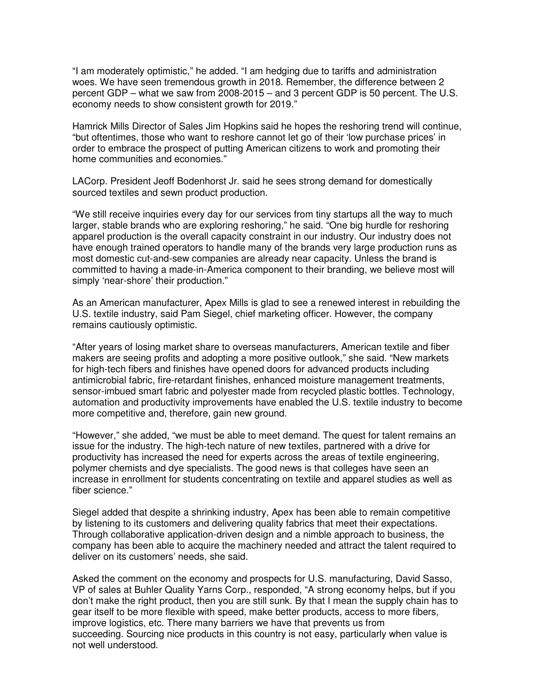"I am moderately optimistic," he added. "I am hedging due to tariffs and administration woes. We have seen tremendous growth in 2018. Remember, the difference between 2 percent GDP – what we saw from 2008-2015 – and 3 percent GDP is 50 percent. The U.S. economy needs to show consistent growth for 2019."

Hamrick Mills Director of Sales Jim Hopkins said he hopes the reshoring trend will continue, "but oftentimes, those who want to reshore cannot let go of their 'low purchase prices' in order to embrace the prospect of putting American citizens to work and promoting their home communities and economies."

LACorp. President Jeoff Bodenhorst Jr. said he sees strong demand for domestically sourced textiles and sewn product production.

"We still receive inquiries every day for our services from tiny startups all the way to much larger, stable brands who are exploring reshoring," he said. "One big hurdle for reshoring apparel production is the overall capacity constraint in our industry. Our industry does not have enough trained operators to handle many of the brands very large production runs as most domestic cut-and-sew companies are already near capacity. Unless the brand is committed to having a made-in-America component to their branding, we believe most will simply 'near-shore' their production."

As an American manufacturer, Apex Mills is glad to see a renewed interest in rebuilding the U.S. textile industry, said Pam Siegel, chief marketing officer. However, the company remains cautiously optimistic.

"After years of losing market share to overseas manufacturers, American textile and fiber makers are seeing profits and adopting a more positive outlook," she said. "New markets for high-tech fibers and finishes have opened doors for advanced products including antimicrobial fabric, fire-retardant finishes, enhanced moisture management treatments, sensor-imbued smart fabric and polyester made from recycled plastic bottles. Technology, automation and productivity improvements have enabled the U.S. textile industry to become more competitive and, therefore, gain new ground.

"However," she added, "we must be able to meet demand. The quest for talent remains an issue for the industry. The high-tech nature of new textiles, partnered with a drive for productivity has increased the need for experts across the areas of textile engineering, polymer chemists and dye specialists. The good news is that colleges have seen an increase in enrollment for students concentrating on textile and apparel studies as well as fiber science."

Siegel added that despite a shrinking industry, Apex has been able to remain competitive by listening to its customers and delivering quality fabrics that meet their expectations. Through collaborative application-driven design and a nimble approach to business, the company has been able to acquire the machinery needed and attract the talent required to deliver on its customers' needs, she said.

Asked the comment on the economy and prospects for U.S. manufacturing, David Sasso, VP of sales at Buhler Quality Yarns Corp., responded, "A strong economy helps, but if you don't make the right product, then you are still sunk. By that I mean the supply chain has to gear itself to be more flexible with speed, make better products, access to more fibers, improve logistics, etc. There many barriers we have that prevents us from succeeding. Sourcing nice products in this country is not easy, particularly when value is not well understood.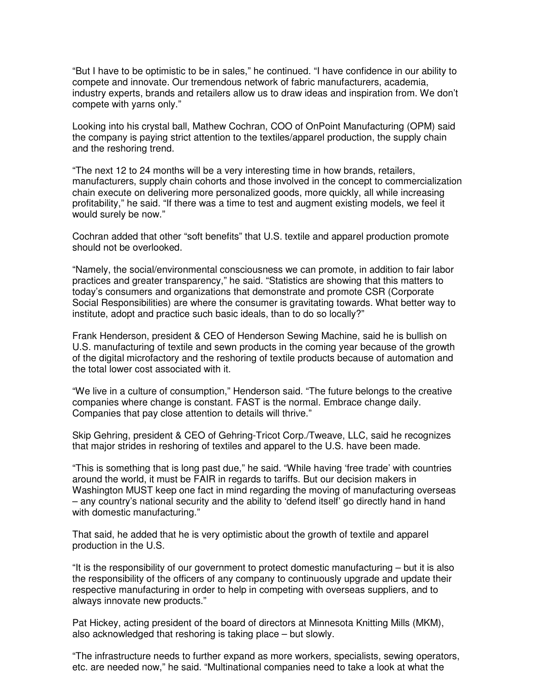"But I have to be optimistic to be in sales," he continued. "I have confidence in our ability to compete and innovate. Our tremendous network of fabric manufacturers, academia, industry experts, brands and retailers allow us to draw ideas and inspiration from. We don't compete with yarns only."

Looking into his crystal ball, Mathew Cochran, COO of OnPoint Manufacturing (OPM) said the company is paying strict attention to the textiles/apparel production, the supply chain and the reshoring trend.

"The next 12 to 24 months will be a very interesting time in how brands, retailers, manufacturers, supply chain cohorts and those involved in the concept to commercialization chain execute on delivering more personalized goods, more quickly, all while increasing profitability," he said. "If there was a time to test and augment existing models, we feel it would surely be now."

Cochran added that other "soft benefits" that U.S. textile and apparel production promote should not be overlooked.

"Namely, the social/environmental consciousness we can promote, in addition to fair labor practices and greater transparency," he said. "Statistics are showing that this matters to today's consumers and organizations that demonstrate and promote CSR (Corporate Social Responsibilities) are where the consumer is gravitating towards. What better way to institute, adopt and practice such basic ideals, than to do so locally?"

Frank Henderson, president & CEO of Henderson Sewing Machine, said he is bullish on U.S. manufacturing of textile and sewn products in the coming year because of the growth of the digital microfactory and the reshoring of textile products because of automation and the total lower cost associated with it.

"We live in a culture of consumption," Henderson said. "The future belongs to the creative companies where change is constant. FAST is the normal. Embrace change daily. Companies that pay close attention to details will thrive."

Skip Gehring, president & CEO of Gehring-Tricot Corp./Tweave, LLC, said he recognizes that major strides in reshoring of textiles and apparel to the U.S. have been made.

"This is something that is long past due," he said. "While having 'free trade' with countries around the world, it must be FAIR in regards to tariffs. But our decision makers in Washington MUST keep one fact in mind regarding the moving of manufacturing overseas – any country's national security and the ability to 'defend itself' go directly hand in hand with domestic manufacturing."

That said, he added that he is very optimistic about the growth of textile and apparel production in the U.S.

"It is the responsibility of our government to protect domestic manufacturing – but it is also the responsibility of the officers of any company to continuously upgrade and update their respective manufacturing in order to help in competing with overseas suppliers, and to always innovate new products."

Pat Hickey, acting president of the board of directors at Minnesota Knitting Mills (MKM), also acknowledged that reshoring is taking place – but slowly.

"The infrastructure needs to further expand as more workers, specialists, sewing operators, etc. are needed now," he said. "Multinational companies need to take a look at what the